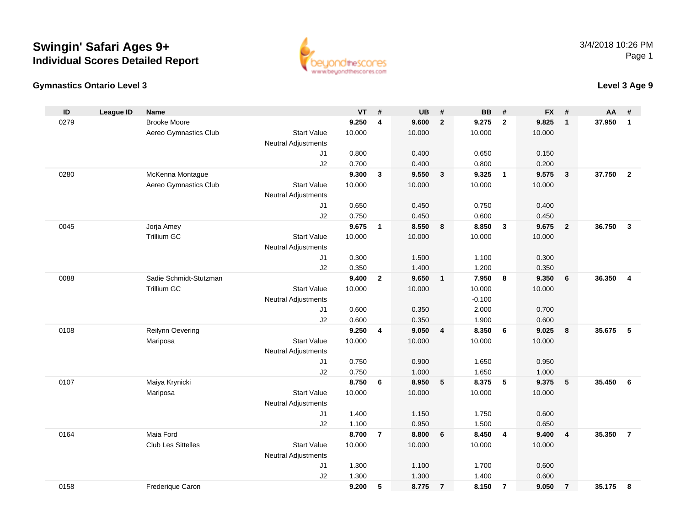



### **Level 3 Age 9**

| ID   | <b>League ID</b> | <b>Name</b>            |                                  | <b>VT</b> | #              | <b>UB</b>      | #                       | <b>BB</b> | #               | <b>FX</b> | #                       | AA     | #                       |
|------|------------------|------------------------|----------------------------------|-----------|----------------|----------------|-------------------------|-----------|-----------------|-----------|-------------------------|--------|-------------------------|
| 0279 |                  | <b>Brooke Moore</b>    |                                  | 9.250     | $\overline{4}$ | 9.600          | $\overline{2}$          | 9.275     | $\overline{2}$  | 9.825     | $\mathbf{1}$            | 37.950 | $\mathbf{1}$            |
|      |                  | Aereo Gymnastics Club  | <b>Start Value</b>               | 10.000    |                | 10.000         |                         | 10.000    |                 | 10.000    |                         |        |                         |
|      |                  |                        | Neutral Adjustments              |           |                |                |                         |           |                 |           |                         |        |                         |
|      |                  |                        | J <sub>1</sub>                   | 0.800     |                | 0.400          |                         | 0.650     |                 | 0.150     |                         |        |                         |
|      |                  |                        | J2                               | 0.700     |                | 0.400          |                         | 0.800     |                 | 0.200     |                         |        |                         |
| 0280 |                  | McKenna Montague       |                                  | 9.300     | 3              | 9.550          | $\mathbf{3}$            | 9.325     | $\overline{1}$  | 9.575     | $\overline{\mathbf{3}}$ | 37.750 | $\overline{2}$          |
|      |                  | Aereo Gymnastics Club  | <b>Start Value</b>               | 10.000    |                | 10.000         |                         | 10.000    |                 | 10.000    |                         |        |                         |
|      |                  |                        | Neutral Adjustments              |           |                |                |                         |           |                 |           |                         |        |                         |
|      |                  |                        | J1                               | 0.650     |                | 0.450          |                         | 0.750     |                 | 0.400     |                         |        |                         |
|      |                  |                        | J2                               | 0.750     |                | 0.450          |                         | 0.600     |                 | 0.450     |                         |        |                         |
| 0045 |                  | Jorja Amey             |                                  | 9.675     | $\mathbf{1}$   | 8.550          | 8                       | 8.850     | $\mathbf{3}$    | 9.675     | $\overline{2}$          | 36.750 | $\overline{\mathbf{3}}$ |
|      |                  | <b>Trillium GC</b>     | <b>Start Value</b>               | 10.000    |                | 10.000         |                         | 10.000    |                 | 10.000    |                         |        |                         |
|      |                  |                        | <b>Neutral Adjustments</b>       |           |                |                |                         |           |                 |           |                         |        |                         |
|      |                  |                        | J <sub>1</sub>                   | 0.300     |                | 1.500          |                         | 1.100     |                 | 0.300     |                         |        |                         |
|      |                  |                        | J2                               | 0.350     |                | 1.400          |                         | 1.200     |                 | 0.350     |                         |        |                         |
| 0088 |                  | Sadie Schmidt-Stutzman |                                  | 9.400     | $\overline{2}$ | 9.650          | $\mathbf{1}$            | 7.950     | 8               | 9.350     | 6                       | 36.350 | 4                       |
|      |                  | <b>Trillium GC</b>     | <b>Start Value</b>               | 10.000    |                | 10.000         |                         | 10.000    |                 | 10.000    |                         |        |                         |
|      |                  |                        | <b>Neutral Adjustments</b>       |           |                |                |                         | $-0.100$  |                 |           |                         |        |                         |
|      |                  |                        | J1                               | 0.600     |                | 0.350          |                         | 2.000     |                 | 0.700     |                         |        |                         |
|      |                  |                        | J2                               | 0.600     |                | 0.350          |                         | 1.900     |                 | 0.600     |                         |        |                         |
| 0108 |                  | Reilynn Oevering       |                                  | 9.250     | 4              | 9.050          | $\overline{\mathbf{4}}$ | 8.350     | 6               | 9.025     | 8                       | 35.675 | 5                       |
|      |                  | Mariposa               | <b>Start Value</b>               | 10.000    |                | 10.000         |                         | 10.000    |                 | 10.000    |                         |        |                         |
|      |                  |                        | <b>Neutral Adjustments</b><br>J1 | 0.750     |                |                |                         | 1.650     |                 | 0.950     |                         |        |                         |
|      |                  |                        | J2                               | 0.750     |                | 0.900<br>1.000 |                         | 1.650     |                 | 1.000     |                         |        |                         |
| 0107 |                  | Maiya Krynicki         |                                  | 8.750     | 6              | 8.950          | 5                       | 8.375     | $5\phantom{.0}$ | 9.375     | 5                       | 35.450 | 6                       |
|      |                  | Mariposa               | <b>Start Value</b>               | 10.000    |                | 10.000         |                         | 10.000    |                 | 10.000    |                         |        |                         |
|      |                  |                        | <b>Neutral Adjustments</b>       |           |                |                |                         |           |                 |           |                         |        |                         |
|      |                  |                        | J1                               | 1.400     |                | 1.150          |                         | 1.750     |                 | 0.600     |                         |        |                         |
|      |                  |                        | J2                               | 1.100     |                | 0.950          |                         | 1.500     |                 | 0.650     |                         |        |                         |
| 0164 |                  | Maia Ford              |                                  | 8.700     | $\overline{7}$ | 8.800          | 6                       | 8.450     | 4               | 9.400     | $\overline{\mathbf{4}}$ | 35.350 | $\overline{7}$          |
|      |                  | Club Les Sittelles     | <b>Start Value</b>               | 10.000    |                | 10.000         |                         | 10.000    |                 | 10.000    |                         |        |                         |
|      |                  |                        | <b>Neutral Adjustments</b>       |           |                |                |                         |           |                 |           |                         |        |                         |
|      |                  |                        | J1                               | 1.300     |                | 1.100          |                         | 1.700     |                 | 0.600     |                         |        |                         |
|      |                  |                        | J2                               | 1.300     |                | 1.300          |                         | 1.400     |                 | 0.600     |                         |        |                         |
| 0158 |                  | Frederique Caron       |                                  | 9.200     | 5              | 8.775          | $\overline{7}$          | 8.150     | $\overline{7}$  | 9.050     | $\overline{7}$          | 35.175 | 8                       |
|      |                  |                        |                                  |           |                |                |                         |           |                 |           |                         |        |                         |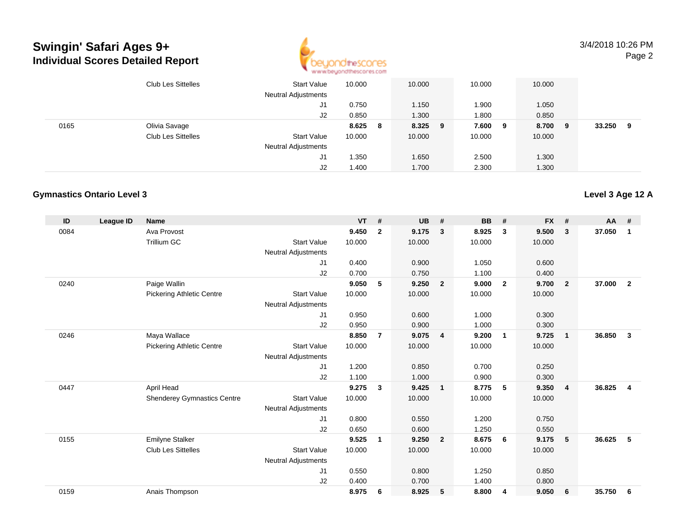

3/4/2018 10:26 PMPage 2

|      | <b>Club Les Sittelles</b> | <b>Start Value</b><br><b>Neutral Adjustments</b> | 10.000 |   | 10.000  | 10.000 |     | 10.000 |   |        |   |
|------|---------------------------|--------------------------------------------------|--------|---|---------|--------|-----|--------|---|--------|---|
|      |                           | J1                                               | 0.750  |   | 1.150   | 1.900  |     | 1.050  |   |        |   |
|      |                           | J2                                               | 0.850  |   | 1.300   | 1.800  |     | 0.850  |   |        |   |
| 0165 | Olivia Savage             |                                                  | 8.625  | 8 | 8.325 9 | 7.600  | - 9 | 8.700  | 9 | 33.250 | 9 |
|      | <b>Club Les Sittelles</b> | <b>Start Value</b>                               | 10.000 |   | 10.000  | 10.000 |     | 10.000 |   |        |   |
|      |                           | <b>Neutral Adjustments</b>                       |        |   |         |        |     |        |   |        |   |
|      |                           | J1                                               | 1.350  |   | 1.650   | 2.500  |     | 1.300  |   |        |   |
|      |                           | J2                                               | 1.400  |   | 1.700   | 2.300  |     | 1.300  |   |        |   |

#### **Gymnastics Ontario Level 3**

| ID   | League ID | <b>Name</b>                        |                            | <b>VT</b> | #              | <b>UB</b> | #                       | <b>BB</b> | #                       | <b>FX</b> | #              | <b>AA</b> | #              |
|------|-----------|------------------------------------|----------------------------|-----------|----------------|-----------|-------------------------|-----------|-------------------------|-----------|----------------|-----------|----------------|
| 0084 |           | Ava Provost                        |                            | 9.450     | $\overline{2}$ | 9.175     | $\mathbf{3}$            | 8.925     | 3                       | 9.500     | 3              | 37.050    | 1              |
|      |           | Trillium GC                        | <b>Start Value</b>         | 10.000    |                | 10.000    |                         | 10.000    |                         | 10.000    |                |           |                |
|      |           |                                    | <b>Neutral Adjustments</b> |           |                |           |                         |           |                         |           |                |           |                |
|      |           |                                    | J1                         | 0.400     |                | 0.900     |                         | 1.050     |                         | 0.600     |                |           |                |
|      |           |                                    | J2                         | 0.700     |                | 0.750     |                         | 1.100     |                         | 0.400     |                |           |                |
| 0240 |           | Paige Wallin                       |                            | 9.050     | 5              | 9.250     | $\overline{2}$          | 9.000     | $\overline{2}$          | 9.700     | $\overline{2}$ | 37,000    | $\overline{2}$ |
|      |           | <b>Pickering Athletic Centre</b>   | <b>Start Value</b>         | 10.000    |                | 10.000    |                         | 10.000    |                         | 10.000    |                |           |                |
|      |           |                                    | <b>Neutral Adjustments</b> |           |                |           |                         |           |                         |           |                |           |                |
|      |           |                                    | J1                         | 0.950     |                | 0.600     |                         | 1.000     |                         | 0.300     |                |           |                |
|      |           |                                    | J2                         | 0.950     |                | 0.900     |                         | 1.000     |                         | 0.300     |                |           |                |
| 0246 |           | Maya Wallace                       |                            | 8.850     | $\overline{7}$ | 9.075     | $\overline{4}$          | 9.200     | $\overline{\mathbf{1}}$ | 9.725     | $\mathbf{1}$   | 36.850    | 3              |
|      |           | <b>Pickering Athletic Centre</b>   | <b>Start Value</b>         | 10.000    |                | 10.000    |                         | 10.000    |                         | 10.000    |                |           |                |
|      |           |                                    | <b>Neutral Adjustments</b> |           |                |           |                         |           |                         |           |                |           |                |
|      |           |                                    | J <sub>1</sub>             | 1.200     |                | 0.850     |                         | 0.700     |                         | 0.250     |                |           |                |
|      |           |                                    | J2                         | 1.100     |                | 1.000     |                         | 0.900     |                         | 0.300     |                |           |                |
| 0447 |           | April Head                         |                            | 9.275     | 3              | 9.425     | $\overline{\mathbf{1}}$ | 8.775     | 5                       | 9.350     | $\overline{4}$ | 36.825    | 4              |
|      |           | <b>Shenderey Gymnastics Centre</b> | <b>Start Value</b>         | 10.000    |                | 10.000    |                         | 10.000    |                         | 10.000    |                |           |                |
|      |           |                                    | <b>Neutral Adjustments</b> |           |                |           |                         |           |                         |           |                |           |                |
|      |           |                                    | J1                         | 0.800     |                | 0.550     |                         | 1.200     |                         | 0.750     |                |           |                |
|      |           |                                    | J2                         | 0.650     |                | 0.600     |                         | 1.250     |                         | 0.550     |                |           |                |
| 0155 |           | <b>Emilyne Stalker</b>             |                            | 9.525     | $\mathbf{1}$   | 9.250     | $\overline{2}$          | 8.675     | 6                       | 9.175     | 5              | 36.625    | 5              |
|      |           | <b>Club Les Sittelles</b>          | <b>Start Value</b>         | 10.000    |                | 10.000    |                         | 10.000    |                         | 10.000    |                |           |                |
|      |           |                                    | <b>Neutral Adjustments</b> |           |                |           |                         |           |                         |           |                |           |                |
|      |           |                                    | J <sub>1</sub>             | 0.550     |                | 0.800     |                         | 1.250     |                         | 0.850     |                |           |                |
|      |           |                                    | J <sub>2</sub>             | 0.400     |                | 0.700     |                         | 1.400     |                         | 0.800     |                |           |                |
| 0159 |           | Anais Thompson                     |                            | 8.975     | 6              | 8.925     | 5                       | 8.800     | $\overline{4}$          | 9.050     | 6              | 35.750    | 6              |
|      |           |                                    |                            |           |                |           |                         |           |                         |           |                |           |                |

### **Level 3 Age 12 A**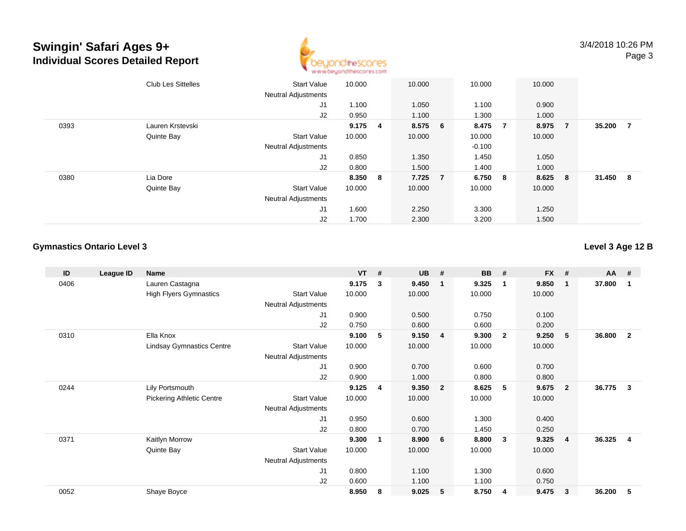

|      | <b>Club Les Sittelles</b> | <b>Start Value</b><br><b>Neutral Adjustments</b> | 10.000          | 10.000  | 10.000   |                | 10.000 |                |        |     |
|------|---------------------------|--------------------------------------------------|-----------------|---------|----------|----------------|--------|----------------|--------|-----|
|      |                           | J1                                               | 1.100           | 1.050   | 1.100    |                | 0.900  |                |        |     |
|      |                           | J2                                               | 0.950           | 1.100   | 1.300    |                | 1.000  |                |        |     |
| 0393 | Lauren Krstevski          |                                                  | $9.175 \quad 4$ | 8.575 6 | 8.475    | $\overline{7}$ | 8.975  | $\overline{7}$ | 35.200 | - 7 |
|      | Quinte Bay                | <b>Start Value</b>                               | 10.000          | 10.000  | 10.000   |                | 10.000 |                |        |     |
|      |                           | <b>Neutral Adjustments</b>                       |                 |         | $-0.100$ |                |        |                |        |     |
|      |                           | J1                                               | 0.850           | 1.350   | 1.450    |                | 1.050  |                |        |     |
|      |                           | J2                                               | 0.800           | 1.500   | 1.400    |                | 1.000  |                |        |     |
| 0380 | Lia Dore                  |                                                  | 8.350 8         | 7.725 7 | 6.750    | 8              | 8.625  | - 8            | 31.450 | - 8 |
|      | Quinte Bay                | <b>Start Value</b>                               | 10.000          | 10.000  | 10.000   |                | 10.000 |                |        |     |
|      |                           | <b>Neutral Adjustments</b>                       |                 |         |          |                |        |                |        |     |
|      |                           | J <sub>1</sub>                                   | 1.600           | 2.250   | 3.300    |                | 1.250  |                |        |     |
|      |                           | J2                                               | 1.700           | 2.300   | 3.200    |                | 1.500  |                |        |     |

#### **Gymnastics Ontario Level 3**

#### **Level 3 Age 12 B**

| ID   | League ID | Name                             |                            | $VT$ # |   | <b>UB</b> | #                       | <b>BB</b> | #              | <b>FX</b> | #              | <b>AA</b> | #                       |
|------|-----------|----------------------------------|----------------------------|--------|---|-----------|-------------------------|-----------|----------------|-----------|----------------|-----------|-------------------------|
| 0406 |           | Lauren Castagna                  |                            | 9.175  | 3 | 9.450     | 1                       | 9.325     | $\mathbf 1$    | 9.850     | -1             | 37.800    | -1                      |
|      |           | <b>High Flyers Gymnastics</b>    | <b>Start Value</b>         | 10.000 |   | 10.000    |                         | 10.000    |                | 10.000    |                |           |                         |
|      |           |                                  | <b>Neutral Adjustments</b> |        |   |           |                         |           |                |           |                |           |                         |
|      |           |                                  | J1                         | 0.900  |   | 0.500     |                         | 0.750     |                | 0.100     |                |           |                         |
|      |           |                                  | J2                         | 0.750  |   | 0.600     |                         | 0.600     |                | 0.200     |                |           |                         |
| 0310 |           | Ella Knox                        |                            | 9.100  | 5 | 9.150     | $\overline{\mathbf{4}}$ | 9.300     | $\overline{2}$ | 9.250     | -5             | 36.800    | $\overline{2}$          |
|      |           | <b>Lindsay Gymnastics Centre</b> | <b>Start Value</b>         | 10.000 |   | 10.000    |                         | 10.000    |                | 10.000    |                |           |                         |
|      |           |                                  | Neutral Adjustments        |        |   |           |                         |           |                |           |                |           |                         |
|      |           |                                  | J1                         | 0.900  |   | 0.700     |                         | 0.600     |                | 0.700     |                |           |                         |
|      |           |                                  | J2                         | 0.900  |   | 1.000     |                         | 0.800     |                | 0.800     |                |           |                         |
| 0244 |           | Lily Portsmouth                  |                            | 9.125  | 4 | 9.350     | $\overline{2}$          | 8.625     | - 5            | 9.675     | $\overline{2}$ | 36.775    | 3                       |
|      |           | <b>Pickering Athletic Centre</b> | <b>Start Value</b>         | 10.000 |   | 10.000    |                         | 10.000    |                | 10.000    |                |           |                         |
|      |           |                                  | Neutral Adjustments        |        |   |           |                         |           |                |           |                |           |                         |
|      |           |                                  | J1                         | 0.950  |   | 0.600     |                         | 1.300     |                | 0.400     |                |           |                         |
|      |           |                                  | J2                         | 0.800  |   | 0.700     |                         | 1.450     |                | 0.250     |                |           |                         |
| 0371 |           | Kaitlyn Morrow                   |                            | 9.300  | 1 | 8.900     | 6                       | 8.800     | $\mathbf{3}$   | 9.325     | $\overline{4}$ | 36.325    | $\overline{\mathbf{4}}$ |
|      |           | Quinte Bay                       | <b>Start Value</b>         | 10.000 |   | 10.000    |                         | 10.000    |                | 10.000    |                |           |                         |
|      |           |                                  | Neutral Adjustments        |        |   |           |                         |           |                |           |                |           |                         |
|      |           |                                  | J <sub>1</sub>             | 0.800  |   | 1.100     |                         | 1.300     |                | 0.600     |                |           |                         |
|      |           |                                  | J2                         | 0.600  |   | 1.100     |                         | 1.100     |                | 0.750     |                |           |                         |
| 0052 |           | Shaye Boyce                      |                            | 8.950  | 8 | 9.025     | 5                       | 8.750     | 4              | 9.475     | 3              | 36.200    | 5                       |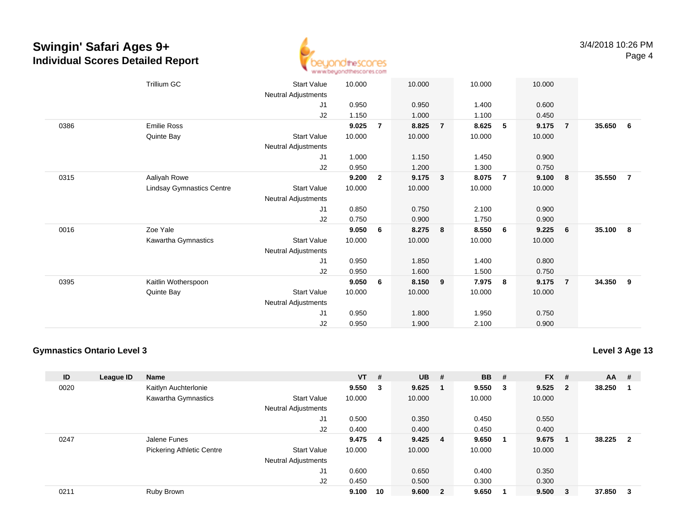

|      | <b>Trillium GC</b>               | <b>Start Value</b>  | 10.000 |                | 10.000 |                | 10.000 |                 | 10.000 |                |        |                |
|------|----------------------------------|---------------------|--------|----------------|--------|----------------|--------|-----------------|--------|----------------|--------|----------------|
|      |                                  | Neutral Adjustments |        |                |        |                |        |                 |        |                |        |                |
|      |                                  | J1                  | 0.950  |                | 0.950  |                | 1.400  |                 | 0.600  |                |        |                |
|      |                                  | J2                  | 1.150  |                | 1.000  |                | 1.100  |                 | 0.450  |                |        |                |
| 0386 | <b>Emilie Ross</b>               |                     | 9.025  | $\overline{7}$ | 8.825  | $\overline{7}$ | 8.625  | $5\phantom{.0}$ | 9.175  | $\overline{7}$ | 35.650 | - 6            |
|      | Quinte Bay                       | <b>Start Value</b>  | 10.000 |                | 10.000 |                | 10.000 |                 | 10.000 |                |        |                |
|      |                                  | Neutral Adjustments |        |                |        |                |        |                 |        |                |        |                |
|      |                                  | J1                  | 1.000  |                | 1.150  |                | 1.450  |                 | 0.900  |                |        |                |
|      |                                  | J2                  | 0.950  |                | 1.200  |                | 1.300  |                 | 0.750  |                |        |                |
| 0315 | Aaliyah Rowe                     |                     | 9.200  | $\overline{2}$ | 9.175  | $\mathbf{3}$   | 8.075  | $\overline{7}$  | 9.100  | $\bf{8}$       | 35.550 | $\overline{7}$ |
|      | <b>Lindsay Gymnastics Centre</b> | <b>Start Value</b>  | 10.000 |                | 10.000 |                | 10.000 |                 | 10.000 |                |        |                |
|      |                                  | Neutral Adjustments |        |                |        |                |        |                 |        |                |        |                |
|      |                                  | J1                  | 0.850  |                | 0.750  |                | 2.100  |                 | 0.900  |                |        |                |
|      |                                  | J2                  | 0.750  |                | 0.900  |                | 1.750  |                 | 0.900  |                |        |                |
| 0016 | Zoe Yale                         |                     | 9.050  | 6              | 8.275  | 8              | 8.550  | 6               | 9.225  | 6              | 35.100 | 8              |
|      | Kawartha Gymnastics              | <b>Start Value</b>  | 10.000 |                | 10.000 |                | 10.000 |                 | 10.000 |                |        |                |
|      |                                  | Neutral Adjustments |        |                |        |                |        |                 |        |                |        |                |
|      |                                  | J1                  | 0.950  |                | 1.850  |                | 1.400  |                 | 0.800  |                |        |                |
|      |                                  | J2                  | 0.950  |                | 1.600  |                | 1.500  |                 | 0.750  |                |        |                |
| 0395 | Kaitlin Wotherspoon              |                     | 9.050  | 6              | 8.150  | 9              | 7.975  | - 8             | 9.175  | $\overline{7}$ | 34.350 | 9              |
|      | Quinte Bay                       | <b>Start Value</b>  | 10.000 |                | 10.000 |                | 10.000 |                 | 10.000 |                |        |                |
|      |                                  | Neutral Adjustments |        |                |        |                |        |                 |        |                |        |                |
|      |                                  | J1                  | 0.950  |                | 1.800  |                | 1.950  |                 | 0.750  |                |        |                |
|      |                                  | J2                  | 0.950  |                | 1.900  |                | 2.100  |                 | 0.900  |                |        |                |
|      |                                  |                     |        |                |        |                |        |                 |        |                |        |                |

#### **Gymnastics Ontario Level 3**

**Level 3 Age 13**

| ID   | League ID | <b>Name</b>                      |                            | $VT$ #  |    | <b>UB</b> | #              | <b>BB</b> | #   | <b>FX</b> | #                       | AA     | #                       |
|------|-----------|----------------------------------|----------------------------|---------|----|-----------|----------------|-----------|-----|-----------|-------------------------|--------|-------------------------|
| 0020 |           | Kaitlyn Auchterlonie             |                            | 9.550   | 3  | 9.625     |                | 9.550     | - 3 | 9.525     | $\overline{\mathbf{2}}$ | 38.250 |                         |
|      |           | Kawartha Gymnastics              | <b>Start Value</b>         | 10.000  |    | 10.000    |                | 10.000    |     | 10.000    |                         |        |                         |
|      |           |                                  | <b>Neutral Adjustments</b> |         |    |           |                |           |     |           |                         |        |                         |
|      |           |                                  | J <sub>1</sub>             | 0.500   |    | 0.350     |                | 0.450     |     | 0.550     |                         |        |                         |
|      |           |                                  | J2                         | 0.400   |    | 0.400     |                | 0.450     |     | 0.400     |                         |        |                         |
| 0247 |           | Jalene Funes                     |                            | 9.475 4 |    | $9.425$ 4 |                | 9.650     |     | 9.675     |                         | 38.225 | $\overline{\mathbf{2}}$ |
|      |           | <b>Pickering Athletic Centre</b> | <b>Start Value</b>         | 10.000  |    | 10.000    |                | 10.000    |     | 10.000    |                         |        |                         |
|      |           |                                  | <b>Neutral Adjustments</b> |         |    |           |                |           |     |           |                         |        |                         |
|      |           |                                  | J <sub>1</sub>             | 0.600   |    | 0.650     |                | 0.400     |     | 0.350     |                         |        |                         |
|      |           |                                  | J2                         | 0.450   |    | 0.500     |                | 0.300     |     | 0.300     |                         |        |                         |
| 0211 |           | Ruby Brown                       |                            | 9.100   | 10 | 9.600     | $\overline{2}$ | 9.650     |     | 9.500     | - 3                     | 37.850 | -3                      |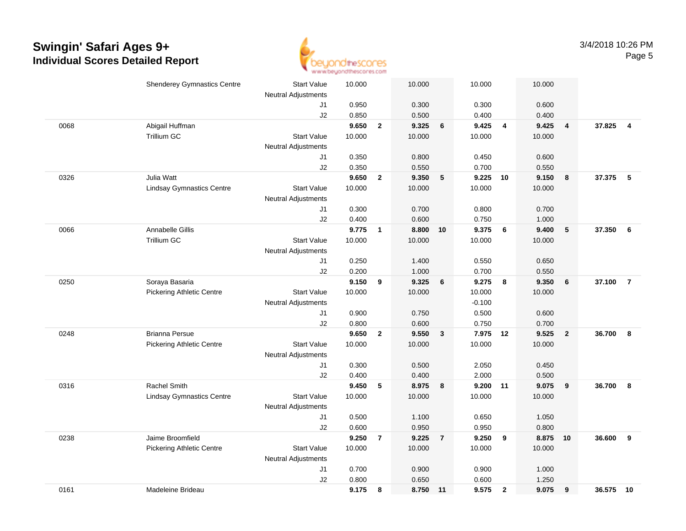

|      | <b>Shenderey Gymnastics Centre</b> | <b>Start Value</b>         | 10.000         |                | 10.000         |                         | 10.000         |                | 10.000         |                |           |                |
|------|------------------------------------|----------------------------|----------------|----------------|----------------|-------------------------|----------------|----------------|----------------|----------------|-----------|----------------|
|      |                                    | <b>Neutral Adjustments</b> |                |                |                |                         |                |                |                |                |           |                |
|      |                                    | J1                         | 0.950          |                | 0.300          |                         | 0.300          |                | 0.600          |                |           |                |
|      |                                    | J2                         | 0.850          |                | 0.500          |                         | 0.400          |                | 0.400          |                |           |                |
| 0068 | Abigail Huffman                    |                            | 9.650          | $\overline{2}$ | 9.325          | $6\phantom{1}6$         | 9.425          | $\overline{4}$ | 9.425          | $\overline{4}$ | 37.825    | $\overline{4}$ |
|      | <b>Trillium GC</b>                 | <b>Start Value</b>         | 10.000         |                | 10.000         |                         | 10.000         |                | 10.000         |                |           |                |
|      |                                    | <b>Neutral Adjustments</b> |                |                |                |                         |                |                |                |                |           |                |
|      |                                    | J1                         | 0.350          |                | 0.800          |                         | 0.450          |                | 0.600          |                |           |                |
|      |                                    | J2                         | 0.350          |                | 0.550          |                         | 0.700          |                | 0.550          |                |           |                |
| 0326 | Julia Watt                         |                            | 9.650          | $\overline{2}$ | 9.350          | 5                       | 9.225          | 10             | 9.150          | 8              | 37.375    | -5             |
|      | <b>Lindsay Gymnastics Centre</b>   | <b>Start Value</b>         | 10.000         |                | 10.000         |                         | 10.000         |                | 10.000         |                |           |                |
|      |                                    | <b>Neutral Adjustments</b> |                |                |                |                         |                |                |                |                |           |                |
|      |                                    | J1                         | 0.300          |                | 0.700          |                         | 0.800          |                | 0.700          |                |           |                |
|      |                                    | J2                         | 0.400          |                | 0.600          |                         | 0.750          |                | 1.000          |                |           |                |
| 0066 | Annabelle Gillis<br>Trillium GC    |                            | 9.775          | $\mathbf{1}$   | 8.800 10       |                         | 9.375          | 6              | 9.400          | $\sqrt{5}$     | 37.350    | 6              |
|      |                                    | <b>Start Value</b>         | 10.000         |                | 10.000         |                         | 10.000         |                | 10.000         |                |           |                |
|      |                                    | <b>Neutral Adjustments</b> |                |                |                |                         |                |                |                |                |           |                |
|      |                                    | J1<br>J2                   | 0.250<br>0.200 |                | 1.400<br>1.000 |                         | 0.550<br>0.700 |                | 0.650          |                |           |                |
| 0250 | Soraya Basaria                     |                            | 9.150          | 9              | 9.325          | 6                       | 9.275          | 8              | 0.550<br>9.350 | 6              | 37.100    | $\overline{7}$ |
|      | <b>Pickering Athletic Centre</b>   | <b>Start Value</b>         | 10.000         |                | 10.000         |                         | 10.000         |                | 10.000         |                |           |                |
|      |                                    | <b>Neutral Adjustments</b> |                |                |                |                         | $-0.100$       |                |                |                |           |                |
|      |                                    | J1                         | 0.900          |                | 0.750          |                         | 0.500          |                | 0.600          |                |           |                |
|      |                                    | J2                         | 0.800          |                | 0.600          |                         | 0.750          |                | 0.700          |                |           |                |
| 0248 | <b>Brianna Persue</b>              |                            | 9.650          | $\overline{2}$ | 9.550          | $\overline{\mathbf{3}}$ | 7.975          | 12             | 9.525          | $\overline{2}$ | 36.700    | 8              |
|      | <b>Pickering Athletic Centre</b>   | <b>Start Value</b>         | 10.000         |                | 10.000         |                         | 10.000         |                | 10.000         |                |           |                |
|      |                                    | <b>Neutral Adjustments</b> |                |                |                |                         |                |                |                |                |           |                |
|      |                                    | J1                         | 0.300          |                | 0.500          |                         | 2.050          |                | 0.450          |                |           |                |
|      |                                    | J2                         | 0.400          |                | 0.400          |                         | 2.000          |                | 0.500          |                |           |                |
| 0316 | Rachel Smith                       |                            | 9.450          | 5              | 8.975          | 8                       | 9.200 11       |                | 9.075          | 9              | 36.700    | 8              |
|      | <b>Lindsay Gymnastics Centre</b>   | <b>Start Value</b>         | 10.000         |                | 10.000         |                         | 10.000         |                | 10.000         |                |           |                |
|      |                                    | <b>Neutral Adjustments</b> |                |                |                |                         |                |                |                |                |           |                |
|      |                                    | J1                         | 0.500          |                | 1.100          |                         | 0.650          |                | 1.050          |                |           |                |
|      |                                    | J2                         | 0.600          |                | 0.950          |                         | 0.950          |                | 0.800          |                |           |                |
| 0238 | Jaime Broomfield                   |                            | 9.250          | $\overline{7}$ | 9.225          | $\overline{7}$          | 9.250          | 9              | 8.875          | 10             | 36.600    | 9              |
|      | <b>Pickering Athletic Centre</b>   | <b>Start Value</b>         | 10.000         |                | 10.000         |                         | 10.000         |                | 10.000         |                |           |                |
|      |                                    | Neutral Adjustments        |                |                |                |                         |                |                |                |                |           |                |
|      |                                    | J1                         | 0.700          |                | 0.900          |                         | 0.900          |                | 1.000          |                |           |                |
|      |                                    | J2                         | 0.800          |                | 0.650          |                         | 0.600          |                | 1.250          |                |           |                |
| 0161 | Madeleine Brideau                  |                            | 9.175          | 8              | 8.750 11       |                         | 9.575          | $\overline{2}$ | 9.075          | 9              | 36.575 10 |                |
|      |                                    |                            |                |                |                |                         |                |                |                |                |           |                |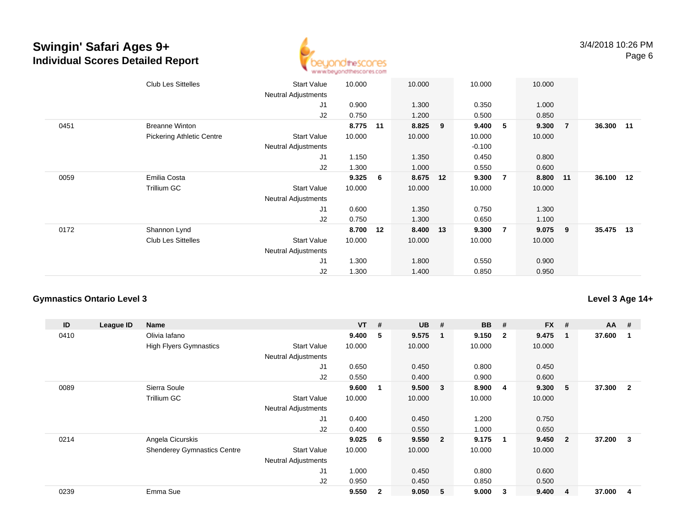

|      | <b>Club Les Sittelles</b>        | Start Value<br>Neutral Adjustments | 10.000 |    | 10.000   |    | 10.000   |                | 10.000 |                |           |  |
|------|----------------------------------|------------------------------------|--------|----|----------|----|----------|----------------|--------|----------------|-----------|--|
|      |                                  | J1                                 | 0.900  |    | 1.300    |    | 0.350    |                | 1.000  |                |           |  |
|      |                                  | J2                                 | 0.750  |    | 1.200    |    | 0.500    |                | 0.850  |                |           |  |
| 0451 | <b>Breanne Winton</b>            |                                    | 8.775  | 11 | 8.825    | 9  | 9.400    | 5              | 9.300  | $\overline{7}$ | 36.300 11 |  |
|      | <b>Pickering Athletic Centre</b> | Start Value                        | 10.000 |    | 10.000   |    | 10.000   |                | 10.000 |                |           |  |
|      |                                  | <b>Neutral Adjustments</b>         |        |    |          |    | $-0.100$ |                |        |                |           |  |
|      |                                  | J1                                 | 1.150  |    | 1.350    |    | 0.450    |                | 0.800  |                |           |  |
|      |                                  | J2                                 | 1.300  |    | 1.000    |    | 0.550    |                | 0.600  |                |           |  |
| 0059 | Emilia Costa                     |                                    | 9.325  | 6  | 8.675    | 12 | 9.300    | $\overline{7}$ | 8.800  | $-11$          | 36.100 12 |  |
|      | <b>Trillium GC</b>               | <b>Start Value</b>                 | 10.000 |    | 10.000   |    | 10.000   |                | 10.000 |                |           |  |
|      |                                  | Neutral Adjustments                |        |    |          |    |          |                |        |                |           |  |
|      |                                  | J1                                 | 0.600  |    | 1.350    |    | 0.750    |                | 1.300  |                |           |  |
|      |                                  | J <sub>2</sub>                     | 0.750  |    | 1.300    |    | 0.650    |                | 1.100  |                |           |  |
| 0172 | Shannon Lynd                     |                                    | 8.700  | 12 | 8.400 13 |    | 9.300    | $\overline{7}$ | 9.075  | - 9            | 35.475 13 |  |
|      | <b>Club Les Sittelles</b>        | Start Value                        | 10.000 |    | 10.000   |    | 10.000   |                | 10.000 |                |           |  |
|      |                                  | Neutral Adjustments                |        |    |          |    |          |                |        |                |           |  |
|      |                                  | J <sub>1</sub>                     | 1.300  |    | 1.800    |    | 0.550    |                | 0.900  |                |           |  |
|      |                                  | J2                                 | 1.300  |    | 1.400    |    | 0.850    |                | 0.950  |                |           |  |

#### **Gymnastics Ontario Level 3**

| ID   | League ID | <b>Name</b>                        |                            | <b>VT</b> | #                       | <b>UB</b> | #                       | <b>BB</b> | #            | <b>FX</b> | #              | $AA$ # |                |
|------|-----------|------------------------------------|----------------------------|-----------|-------------------------|-----------|-------------------------|-----------|--------------|-----------|----------------|--------|----------------|
| 0410 |           | Olivia lafano                      |                            | 9.400     | -5                      | 9.575     | $\overline{\mathbf{1}}$ | 9.150     | $\mathbf{2}$ | 9.475     | 1              | 37.600 | 1              |
|      |           | <b>High Flyers Gymnastics</b>      | <b>Start Value</b>         | 10.000    |                         | 10.000    |                         | 10.000    |              | 10.000    |                |        |                |
|      |           |                                    | <b>Neutral Adjustments</b> |           |                         |           |                         |           |              |           |                |        |                |
|      |           |                                    | J1                         | 0.650     |                         | 0.450     |                         | 0.800     |              | 0.450     |                |        |                |
|      |           |                                    | J2                         | 0.550     |                         | 0.400     |                         | 0.900     |              | 0.600     |                |        |                |
| 0089 |           | Sierra Soule                       |                            | 9.600     | $\overline{\mathbf{1}}$ | 9.500     | $\overline{\mathbf{3}}$ | 8.900     | -4           | 9.300     | 5              | 37.300 | $\overline{2}$ |
|      |           | Trillium GC                        | <b>Start Value</b>         | 10.000    |                         | 10.000    |                         | 10.000    |              | 10.000    |                |        |                |
|      |           |                                    | <b>Neutral Adjustments</b> |           |                         |           |                         |           |              |           |                |        |                |
|      |           |                                    | J1                         | 0.400     |                         | 0.450     |                         | 1.200     |              | 0.750     |                |        |                |
|      |           |                                    | J2                         | 0.400     |                         | 0.550     |                         | 1.000     |              | 0.650     |                |        |                |
| 0214 |           | Angela Cicurskis                   |                            | 9.025     | - 6                     | 9.550     | $\overline{\mathbf{2}}$ | 9.175     | $\mathbf 1$  | 9.450     | $\overline{2}$ | 37.200 | 3              |
|      |           | <b>Shenderey Gymnastics Centre</b> | <b>Start Value</b>         | 10.000    |                         | 10.000    |                         | 10.000    |              | 10.000    |                |        |                |
|      |           |                                    | <b>Neutral Adjustments</b> |           |                         |           |                         |           |              |           |                |        |                |
|      |           |                                    | J <sub>1</sub>             | 1.000     |                         | 0.450     |                         | 0.800     |              | 0.600     |                |        |                |
|      |           |                                    | J2                         | 0.950     |                         | 0.450     |                         | 0.850     |              | 0.500     |                |        |                |
| 0239 |           | Emma Sue                           |                            | 9.550     | $\overline{2}$          | 9.050     | 5                       | 9.000     | 3            | 9.400     | 4              | 37.000 | 4              |

### **Level 3 Age 14+**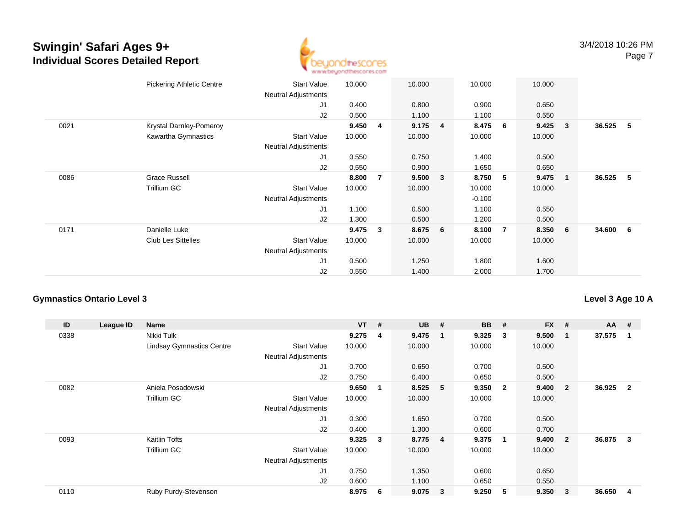

|      | <b>Pickering Athletic Centre</b> | Start Value<br>Neutral Adjustments | 10.000 |                | 10.000 |                | 10.000   |                | 10.000 |                |          |     |
|------|----------------------------------|------------------------------------|--------|----------------|--------|----------------|----------|----------------|--------|----------------|----------|-----|
|      |                                  | J1                                 | 0.400  |                | 0.800  |                | 0.900    |                | 0.650  |                |          |     |
|      |                                  | J2                                 | 0.500  |                | 1.100  |                | 1.100    |                | 0.550  |                |          |     |
| 0021 | Krystal Darnley-Pomeroy          |                                    | 9.450  | 4              | 9.175  | $\overline{4}$ | 8.475    | 6              | 9.425  | $\mathbf{3}$   | 36.525   | - 5 |
|      | Kawartha Gymnastics              | <b>Start Value</b>                 | 10.000 |                | 10.000 |                | 10.000   |                | 10.000 |                |          |     |
|      |                                  | <b>Neutral Adjustments</b>         |        |                |        |                |          |                |        |                |          |     |
|      |                                  | J1                                 | 0.550  |                | 0.750  |                | 1.400    |                | 0.500  |                |          |     |
|      |                                  | J2                                 | 0.550  |                | 0.900  |                | 1.650    |                | 0.650  |                |          |     |
| 0086 | <b>Grace Russell</b>             |                                    | 8.800  | $\overline{7}$ | 9.500  | $\mathbf{3}$   | 8.750    | 5              | 9.475  | $\blacksquare$ | 36.525 5 |     |
|      | <b>Trillium GC</b>               | <b>Start Value</b>                 | 10.000 |                | 10.000 |                | 10.000   |                | 10.000 |                |          |     |
|      |                                  | Neutral Adjustments                |        |                |        |                | $-0.100$ |                |        |                |          |     |
|      |                                  | J1                                 | 1.100  |                | 0.500  |                | 1.100    |                | 0.550  |                |          |     |
|      |                                  | J2                                 | 1.300  |                | 0.500  |                | 1.200    |                | 0.500  |                |          |     |
| 0171 | Danielle Luke                    |                                    | 9.475  | 3              | 8.675  | 6              | 8.100    | $\overline{7}$ | 8.350  | 6              | 34.600 6 |     |
|      | <b>Club Les Sittelles</b>        | <b>Start Value</b>                 | 10.000 |                | 10.000 |                | 10.000   |                | 10.000 |                |          |     |
|      |                                  | <b>Neutral Adjustments</b>         |        |                |        |                |          |                |        |                |          |     |
|      |                                  | J <sub>1</sub>                     | 0.500  |                | 1.250  |                | 1.800    |                | 1.600  |                |          |     |
|      |                                  | J <sub>2</sub>                     | 0.550  |                | 1.400  |                | 2.000    |                | 1.700  |                |          |     |

#### **Gymnastics Ontario Level 3**

**ID League ID Name VT # UB # BB # FX # AA #** 0338 Nikki Tulk **9.275 <sup>4</sup> 9.475 <sup>1</sup> 9.325 <sup>3</sup> 9.500 <sup>1</sup> 37.575 <sup>1</sup>** Lindsay Gymnastics Centre Start Value 10.000 10.000 10.000 10.000 Neutral Adjustments J1 0.700 0.650 0.700 0.500 J2 0.750 0.400 0.650 0.500 0082 Aniela Posadowski **9.650 <sup>1</sup> 8.525 <sup>5</sup> 9.350 <sup>2</sup> 9.400 <sup>2</sup> 36.925 <sup>2</sup>** Trillium GCC 313 Start Value 10.000 10.000 10.000 10.000 10.000 Neutral Adjustments J1 0.300 1.650 0.700 0.500 J2 0.400 1.300 0.600 0.700 0093 Kaitlin Tofts **9.325 <sup>3</sup> 8.775 <sup>4</sup> 9.375 <sup>1</sup> 9.400 <sup>2</sup> 36.875 <sup>3</sup>** Trillium GCC 313 Start Value 10.000 10.000 10.000 10.000 10.000 Neutral Adjustments J1 0.750 1.350 0.600 0.650 J2 0.600 1.100 0.650 0.550 0110Ruby Purdy-Stevenson **8.975 <sup>6</sup> 9.075 <sup>3</sup> 9.250 <sup>5</sup> 9.350 <sup>3</sup> 36.650 <sup>4</sup>**

**Level 3 Age 10 A**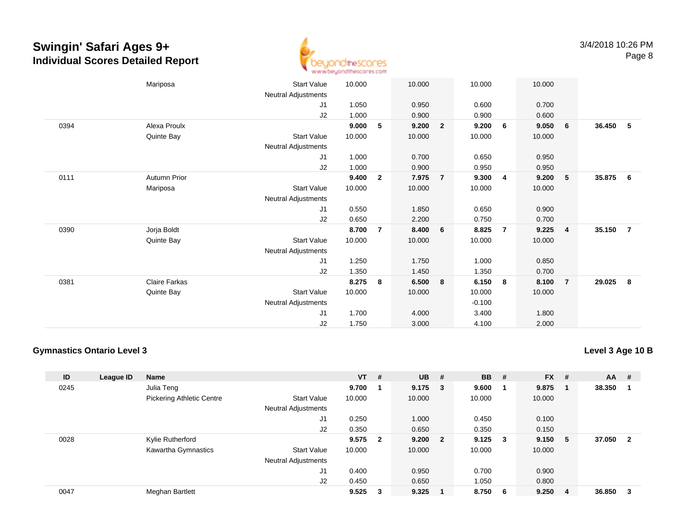

|      | Mariposa             | <b>Start Value</b>         | 10.000 |                | 10.000 |                         | 10.000   |                | 10.000 |                |        |                |
|------|----------------------|----------------------------|--------|----------------|--------|-------------------------|----------|----------------|--------|----------------|--------|----------------|
|      |                      | Neutral Adjustments        |        |                |        |                         |          |                |        |                |        |                |
|      |                      | J1                         | 1.050  |                | 0.950  |                         | 0.600    |                | 0.700  |                |        |                |
|      |                      | J2                         | 1.000  |                | 0.900  |                         | 0.900    |                | 0.600  |                |        |                |
| 0394 | Alexa Proulx         |                            | 9.000  | 5              | 9.200  | $\overline{2}$          | 9.200    | 6              | 9.050  | 6              | 36.450 | - 5            |
|      | Quinte Bay           | <b>Start Value</b>         | 10.000 |                | 10.000 |                         | 10.000   |                | 10.000 |                |        |                |
|      |                      | Neutral Adjustments        |        |                |        |                         |          |                |        |                |        |                |
|      |                      | J1                         | 1.000  |                | 0.700  |                         | 0.650    |                | 0.950  |                |        |                |
|      |                      | J2                         | 1.000  |                | 0.900  |                         | 0.950    |                | 0.950  |                |        |                |
| 0111 | <b>Autumn Prior</b>  |                            | 9.400  | $\overline{2}$ | 7.975  | $\overline{7}$          | 9.300    | $\overline{4}$ | 9.200  | 5              | 35.875 | - 6            |
|      | Mariposa             | <b>Start Value</b>         | 10.000 |                | 10.000 |                         | 10.000   |                | 10.000 |                |        |                |
|      |                      | <b>Neutral Adjustments</b> |        |                |        |                         |          |                |        |                |        |                |
|      |                      | J1                         | 0.550  |                | 1.850  |                         | 0.650    |                | 0.900  |                |        |                |
|      |                      | J2                         | 0.650  |                | 2.200  |                         | 0.750    |                | 0.700  |                |        |                |
| 0390 | Jorja Boldt          |                            | 8.700  | $\overline{7}$ | 8.400  | 6                       | 8.825    | $\overline{7}$ | 9.225  | $\overline{4}$ | 35.150 | $\overline{7}$ |
|      | Quinte Bay           | <b>Start Value</b>         | 10.000 |                | 10.000 |                         | 10.000   |                | 10.000 |                |        |                |
|      |                      | Neutral Adjustments        |        |                |        |                         |          |                |        |                |        |                |
|      |                      | J1                         | 1.250  |                | 1.750  |                         | 1.000    |                | 0.850  |                |        |                |
|      |                      | J2                         | 1.350  |                | 1.450  |                         | 1.350    |                | 0.700  |                |        |                |
| 0381 | <b>Claire Farkas</b> |                            | 8.275  | 8              | 6.500  | $\overline{\mathbf{8}}$ | 6.150    | 8              | 8.100  | $\overline{7}$ | 29.025 | -8             |
|      | Quinte Bay           | <b>Start Value</b>         | 10.000 |                | 10.000 |                         | 10.000   |                | 10.000 |                |        |                |
|      |                      | Neutral Adjustments        |        |                |        |                         | $-0.100$ |                |        |                |        |                |
|      |                      | J1                         | 1.700  |                | 4.000  |                         | 3.400    |                | 1.800  |                |        |                |
|      |                      | J <sub>2</sub>             | 1.750  |                | 3.000  |                         | 4.100    |                | 2.000  |                |        |                |

#### **Gymnastics Ontario Level 3**

**Level 3 Age 10 B**

| ID   | League ID | Name                             |                            | $VT$ # |                | <b>UB</b> | #                          | <b>BB</b> | #                       | <b>FX</b> | -# | AA     | #              |
|------|-----------|----------------------------------|----------------------------|--------|----------------|-----------|----------------------------|-----------|-------------------------|-----------|----|--------|----------------|
| 0245 |           | Julia Teng                       |                            | 9.700  |                | 9.175     | $\overline{\phantom{a}}$ 3 | 9.600     |                         | 9.875     |    | 38.350 |                |
|      |           | <b>Pickering Athletic Centre</b> | <b>Start Value</b>         | 10.000 |                | 10.000    |                            | 10.000    |                         | 10.000    |    |        |                |
|      |           |                                  | Neutral Adjustments        |        |                |           |                            |           |                         |           |    |        |                |
|      |           |                                  | J1                         | 0.250  |                | 1.000     |                            | 0.450     |                         | 0.100     |    |        |                |
|      |           |                                  | J2                         | 0.350  |                | 0.650     |                            | 0.350     |                         | 0.150     |    |        |                |
| 0028 |           | Kylie Rutherford                 |                            | 9.575  | $\overline{2}$ | 9.200     | $\overline{\mathbf{2}}$    | 9.125     | $\overline{\mathbf{3}}$ | 9.150     | -5 | 37.050 | $\overline{2}$ |
|      |           | Kawartha Gymnastics              | <b>Start Value</b>         | 10.000 |                | 10.000    |                            | 10.000    |                         | 10.000    |    |        |                |
|      |           |                                  | <b>Neutral Adjustments</b> |        |                |           |                            |           |                         |           |    |        |                |
|      |           |                                  | J <sub>1</sub>             | 0.400  |                | 0.950     |                            | 0.700     |                         | 0.900     |    |        |                |
|      |           |                                  | J2                         | 0.450  |                | 0.650     |                            | 1.050     |                         | 0.800     |    |        |                |
| 0047 |           | Meghan Bartlett                  |                            | 9.525  | 3              | 9.325     |                            | 8.750     | 6                       | 9.250     | 4  | 36.850 | 3              |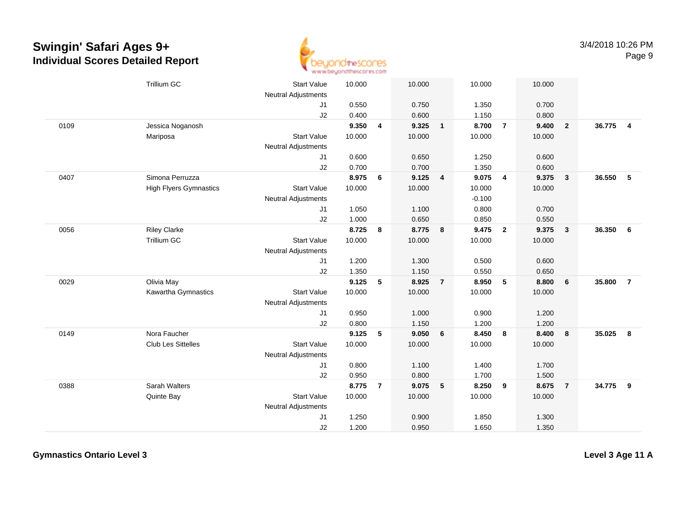

|      | <b>Trillium GC</b>            | <b>Start Value</b><br><b>Neutral Adjustments</b> | 10.000 |                | 10.000 |                 | 10.000   |                | 10.000 |                         |        |                |
|------|-------------------------------|--------------------------------------------------|--------|----------------|--------|-----------------|----------|----------------|--------|-------------------------|--------|----------------|
|      |                               | J <sub>1</sub>                                   | 0.550  |                | 0.750  |                 | 1.350    |                | 0.700  |                         |        |                |
|      |                               | J2                                               | 0.400  |                | 0.600  |                 | 1.150    |                | 0.800  |                         |        |                |
| 0109 | Jessica Noganosh              |                                                  | 9.350  | 4              | 9.325  | $\mathbf{1}$    | 8.700    | $\overline{7}$ | 9.400  | $\overline{\mathbf{2}}$ | 36.775 | $\overline{4}$ |
|      | Mariposa                      | <b>Start Value</b>                               | 10.000 |                | 10.000 |                 | 10.000   |                | 10.000 |                         |        |                |
|      |                               | <b>Neutral Adjustments</b>                       |        |                |        |                 |          |                |        |                         |        |                |
|      |                               | J1                                               | 0.600  |                | 0.650  |                 | 1.250    |                | 0.600  |                         |        |                |
|      |                               | J2                                               | 0.700  |                | 0.700  |                 | 1.350    |                | 0.600  |                         |        |                |
| 0407 | Simona Perruzza               |                                                  | 8.975  | 6              | 9.125  | 4               | 9.075    | $\overline{4}$ | 9.375  | $\overline{\mathbf{3}}$ | 36.550 | 5              |
|      | <b>High Flyers Gymnastics</b> | <b>Start Value</b>                               | 10.000 |                | 10.000 |                 | 10.000   |                | 10.000 |                         |        |                |
|      |                               | <b>Neutral Adjustments</b>                       |        |                |        |                 | $-0.100$ |                |        |                         |        |                |
|      |                               | J1                                               | 1.050  |                | 1.100  |                 | 0.800    |                | 0.700  |                         |        |                |
|      |                               | J2                                               | 1.000  |                | 0.650  |                 | 0.850    |                | 0.550  |                         |        |                |
| 0056 | <b>Riley Clarke</b>           |                                                  | 8.725  | 8              | 8.775  | 8               | 9.475    | $\overline{2}$ | 9.375  | $\mathbf{3}$            | 36.350 | - 6            |
|      | Trillium GC                   | <b>Start Value</b>                               | 10.000 |                | 10.000 |                 | 10.000   |                | 10.000 |                         |        |                |
|      |                               | Neutral Adjustments                              |        |                |        |                 |          |                |        |                         |        |                |
|      |                               | J <sub>1</sub>                                   | 1.200  |                | 1.300  |                 | 0.500    |                | 0.600  |                         |        |                |
|      |                               | J2                                               | 1.350  |                | 1.150  |                 | 0.550    |                | 0.650  |                         |        |                |
| 0029 | Olivia May                    |                                                  | 9.125  | 5              | 8.925  | $\overline{7}$  | 8.950    | 5              | 8.800  | 6                       | 35.800 | $\overline{7}$ |
|      | Kawartha Gymnastics           | <b>Start Value</b>                               | 10.000 |                | 10.000 |                 | 10.000   |                | 10.000 |                         |        |                |
|      |                               | Neutral Adjustments                              |        |                |        |                 |          |                |        |                         |        |                |
|      |                               | J1                                               | 0.950  |                | 1.000  |                 | 0.900    |                | 1.200  |                         |        |                |
|      |                               | J2                                               | 0.800  |                | 1.150  |                 | 1.200    |                | 1.200  |                         |        |                |
| 0149 | Nora Faucher                  |                                                  | 9.125  | 5              | 9.050  | $6\phantom{1}$  | 8.450    | 8              | 8.400  | $\bf{8}$                | 35.025 | 8              |
|      | <b>Club Les Sittelles</b>     | <b>Start Value</b>                               | 10.000 |                | 10.000 |                 | 10.000   |                | 10.000 |                         |        |                |
|      |                               | <b>Neutral Adjustments</b>                       |        |                |        |                 |          |                |        |                         |        |                |
|      |                               | J1                                               | 0.800  |                | 1.100  |                 | 1.400    |                | 1.700  |                         |        |                |
|      |                               | J2                                               | 0.950  |                | 0.800  |                 | 1.700    |                | 1.500  |                         |        |                |
| 0388 | Sarah Walters                 |                                                  | 8.775  | $\overline{7}$ | 9.075  | $5\phantom{.0}$ | 8.250    | 9              | 8.675  | $\overline{7}$          | 34.775 | 9              |
|      | Quinte Bay                    | <b>Start Value</b>                               | 10.000 |                | 10.000 |                 | 10.000   |                | 10.000 |                         |        |                |
|      |                               | Neutral Adjustments                              |        |                |        |                 |          |                |        |                         |        |                |
|      |                               | J <sub>1</sub>                                   | 1.250  |                | 0.900  |                 | 1.850    |                | 1.300  |                         |        |                |
|      |                               | J2                                               | 1.200  |                | 0.950  |                 | 1.650    |                | 1.350  |                         |        |                |

**Gymnastics Ontario Level 3**

**Level 3 Age 11 A**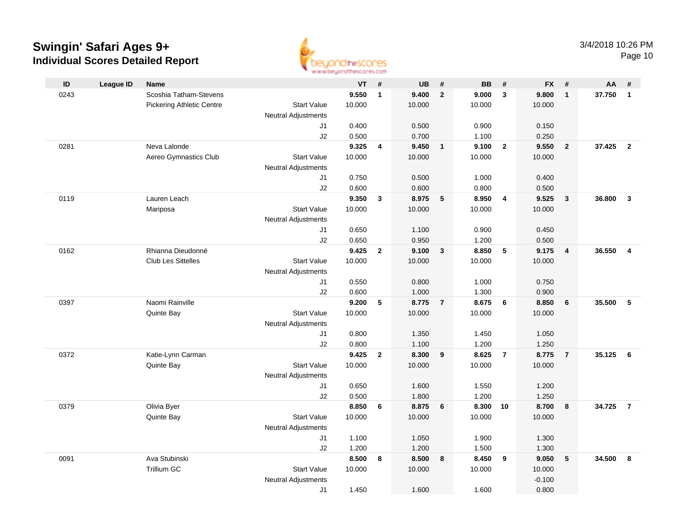

Page 10

| ID   | <b>League ID</b> | <b>Name</b>                         |                                  | <b>VT</b>       | $\#$                    | <b>UB</b>       | $\pmb{\#}$     | <b>BB</b>       | $\pmb{\#}$              | <b>FX</b>       | #                       | AA     | #              |
|------|------------------|-------------------------------------|----------------------------------|-----------------|-------------------------|-----------------|----------------|-----------------|-------------------------|-----------------|-------------------------|--------|----------------|
| 0243 |                  | Scoshia Tatham-Stevens              |                                  | 9.550           | $\mathbf{1}$            | 9.400           | $\overline{2}$ | 9.000           | $\mathbf{3}$            | 9.800           | $\overline{1}$          | 37.750 | $\overline{1}$ |
|      |                  | <b>Pickering Athletic Centre</b>    | <b>Start Value</b>               | 10.000          |                         | 10.000          |                | 10.000          |                         | 10.000          |                         |        |                |
|      |                  |                                     | <b>Neutral Adjustments</b>       |                 |                         |                 |                |                 |                         |                 |                         |        |                |
|      |                  |                                     | J1                               | 0.400           |                         | 0.500           |                | 0.900           |                         | 0.150           |                         |        |                |
|      |                  |                                     | J2                               | 0.500           |                         | 0.700           |                | 1.100           |                         | 0.250           |                         |        |                |
| 0281 |                  | Neva Lalonde                        |                                  | 9.325           | $\overline{\mathbf{4}}$ | 9.450           | $\mathbf{1}$   | 9.100           | $\overline{2}$          | 9.550           | $\overline{\mathbf{2}}$ | 37.425 | $\overline{2}$ |
|      |                  | Aereo Gymnastics Club               | <b>Start Value</b>               | 10.000          |                         | 10.000          |                | 10.000          |                         | 10.000          |                         |        |                |
|      |                  |                                     | <b>Neutral Adjustments</b>       |                 |                         |                 |                |                 |                         |                 |                         |        |                |
|      |                  |                                     | J1                               | 0.750           |                         | 0.500           |                | 1.000           |                         | 0.400           |                         |        |                |
|      |                  |                                     | J2                               | 0.600           |                         | 0.600           |                | 0.800           |                         | 0.500           |                         |        |                |
| 0119 |                  | Lauren Leach                        |                                  | 9.350           | 3                       | 8.975           | 5              | 8.950           | $\overline{\mathbf{4}}$ | 9.525           | $\mathbf{3}$            | 36.800 | $\mathbf{3}$   |
|      |                  | Mariposa                            | <b>Start Value</b>               | 10.000          |                         | 10.000          |                | 10.000          |                         | 10.000          |                         |        |                |
|      |                  |                                     | <b>Neutral Adjustments</b><br>J1 | 0.650           |                         | 1.100           |                | 0.900           |                         | 0.450           |                         |        |                |
|      |                  |                                     | J2                               | 0.650           |                         | 0.950           |                | 1.200           |                         | 0.500           |                         |        |                |
| 0162 |                  | Rhianna Dieudonné                   |                                  | 9.425           | $\mathbf{2}$            | 9.100           | $\mathbf{3}$   | 8.850           | $\sqrt{5}$              | 9.175           | $\overline{4}$          | 36.550 | $\overline{4}$ |
|      |                  | <b>Club Les Sittelles</b>           | <b>Start Value</b>               | 10.000          |                         | 10.000          |                | 10.000          |                         | 10.000          |                         |        |                |
|      |                  |                                     | <b>Neutral Adjustments</b>       |                 |                         |                 |                |                 |                         |                 |                         |        |                |
|      |                  |                                     | J1                               | 0.550           |                         | 0.800           |                | 1.000           |                         | 0.750           |                         |        |                |
|      |                  |                                     | J2                               | 0.600           |                         | 1.000           |                | 1.300           |                         | 0.900           |                         |        |                |
| 0397 |                  | Naomi Rainville                     |                                  | 9.200           | 5                       | 8.775           | $\overline{7}$ | 8.675           | 6                       | 8.850           | 6                       | 35.500 | 5              |
|      |                  | Quinte Bay                          | <b>Start Value</b>               | 10.000          |                         | 10.000          |                | 10.000          |                         | 10.000          |                         |        |                |
|      |                  |                                     | Neutral Adjustments              |                 |                         |                 |                |                 |                         |                 |                         |        |                |
|      |                  |                                     | J1                               | 0.800           |                         | 1.350           |                | 1.450           |                         | 1.050           |                         |        |                |
|      |                  |                                     | J2                               | 0.800           |                         | 1.100           |                | 1.200           |                         | 1.250           |                         |        |                |
| 0372 |                  | Katie-Lynn Carman                   |                                  | 9.425           | $\overline{2}$          | 8.300           | 9              | 8.625           | $\overline{7}$          | 8.775           | $\overline{7}$          | 35.125 | - 6            |
|      |                  | Quinte Bay                          | <b>Start Value</b>               | 10.000          |                         | 10.000          |                | 10.000          |                         | 10.000          |                         |        |                |
|      |                  |                                     | <b>Neutral Adjustments</b>       |                 |                         |                 |                |                 |                         |                 |                         |        |                |
|      |                  |                                     | J1                               | 0.650           |                         | 1.600           |                | 1.550           |                         | 1.200           |                         |        |                |
|      |                  |                                     | J2                               | 0.500           |                         | 1.800           |                | 1.200           |                         | 1.250           |                         |        |                |
| 0379 |                  | Olivia Byer                         |                                  | 8.850           | 6                       | 8.875           | 6              | 8.300 10        |                         | 8.700           | $\bf{8}$                | 34.725 | $\overline{7}$ |
|      |                  | Quinte Bay                          | <b>Start Value</b>               | 10.000          |                         | 10.000          |                | 10.000          |                         | 10.000          |                         |        |                |
|      |                  |                                     | <b>Neutral Adjustments</b>       |                 |                         |                 |                |                 |                         |                 |                         |        |                |
|      |                  |                                     | J1                               | 1.100           |                         | 1.050           |                | 1.900           |                         | 1.300           |                         |        |                |
|      |                  |                                     | J2                               | 1.200           |                         | 1.200           |                | 1.500           |                         | 1.300           |                         |        |                |
| 0091 |                  | Ava Stubinski<br><b>Trillium GC</b> | <b>Start Value</b>               | 8.500<br>10.000 | 8                       | 8.500<br>10.000 | 8              | 8.450<br>10.000 | 9                       | 9.050<br>10.000 | $5\phantom{.0}$         | 34.500 | 8              |
|      |                  |                                     |                                  |                 |                         |                 |                |                 |                         | $-0.100$        |                         |        |                |
|      |                  |                                     | <b>Neutral Adjustments</b><br>J1 | 1.450           |                         | 1.600           |                | 1.600           |                         | 0.800           |                         |        |                |
|      |                  |                                     |                                  |                 |                         |                 |                |                 |                         |                 |                         |        |                |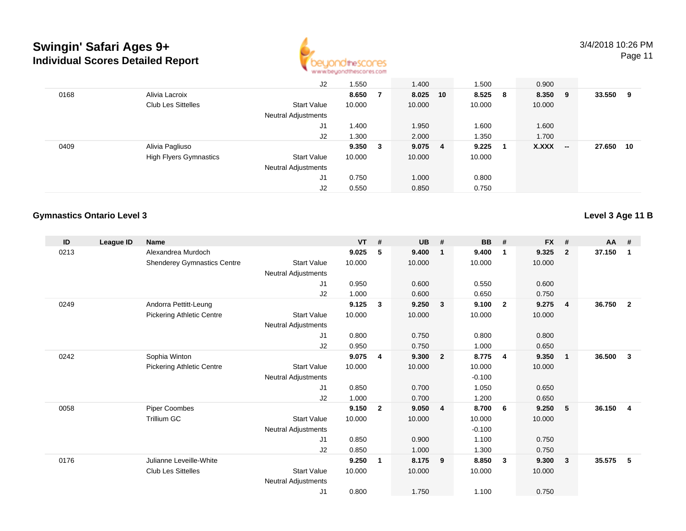

Page 11

|      |                               | J2                         | 1.550  |     | 1.400     |    | 1.500   | 0.900   |        |        |     |
|------|-------------------------------|----------------------------|--------|-----|-----------|----|---------|---------|--------|--------|-----|
| 0168 | Alivia Lacroix                |                            | 8.650  |     | 8.025     | 10 | 8.525 8 | 8.350 9 |        | 33.550 | - 9 |
|      | <b>Club Les Sittelles</b>     | <b>Start Value</b>         | 10.000 |     | 10.000    |    | 10.000  | 10.000  |        |        |     |
|      |                               | <b>Neutral Adjustments</b> |        |     |           |    |         |         |        |        |     |
|      |                               | J1                         | 1.400  |     | 1.950     |    | 1.600   | 1.600   |        |        |     |
|      |                               | J2                         | 1.300  |     | 2.000     |    | 1.350   | 1.700   |        |        |     |
| 0409 | Alivia Pagliuso               |                            | 9.350  | - 3 | $9.075$ 4 |    | 9.225   | X.XXX   | $\sim$ | 27.650 | 10  |
|      | <b>High Flyers Gymnastics</b> | Start Value                | 10.000 |     | 10.000    |    | 10.000  |         |        |        |     |
|      |                               | <b>Neutral Adjustments</b> |        |     |           |    |         |         |        |        |     |
|      |                               | J1                         | 0.750  |     | 1.000     |    | 0.800   |         |        |        |     |
|      |                               | J2                         | 0.550  |     | 0.850     |    | 0.750   |         |        |        |     |

#### **Gymnastics Ontario Level 3**

**Level 3 Age 11 B**

| ID   | League ID | <b>Name</b>                        |                            | <b>VT</b> | #              | <b>UB</b> | #                       | <b>BB</b> | #              | <b>FX</b> | #              | $AA$ # |                |
|------|-----------|------------------------------------|----------------------------|-----------|----------------|-----------|-------------------------|-----------|----------------|-----------|----------------|--------|----------------|
| 0213 |           | Alexandrea Murdoch                 |                            | 9.025     | 5              | 9.400     | $\overline{\mathbf{1}}$ | 9.400     | $\mathbf{1}$   | 9.325     | $\overline{2}$ | 37.150 | $\mathbf 1$    |
|      |           | <b>Shenderey Gymnastics Centre</b> | <b>Start Value</b>         | 10.000    |                | 10.000    |                         | 10.000    |                | 10.000    |                |        |                |
|      |           |                                    | Neutral Adjustments        |           |                |           |                         |           |                |           |                |        |                |
|      |           |                                    | J1                         | 0.950     |                | 0.600     |                         | 0.550     |                | 0.600     |                |        |                |
|      |           |                                    | J2                         | 1.000     |                | 0.600     |                         | 0.650     |                | 0.750     |                |        |                |
| 0249 |           | Andorra Pettitt-Leung              |                            | 9.125     | 3              | 9.250     | $\overline{\mathbf{3}}$ | 9.100     | $\overline{2}$ | 9.275     | 4              | 36.750 | $\overline{2}$ |
|      |           | <b>Pickering Athletic Centre</b>   | <b>Start Value</b>         | 10.000    |                | 10.000    |                         | 10.000    |                | 10.000    |                |        |                |
|      |           |                                    | Neutral Adjustments        |           |                |           |                         |           |                |           |                |        |                |
|      |           |                                    | J1                         | 0.800     |                | 0.750     |                         | 0.800     |                | 0.800     |                |        |                |
|      |           |                                    | J2                         | 0.950     |                | 0.750     |                         | 1.000     |                | 0.650     |                |        |                |
| 0242 |           | Sophia Winton                      |                            | 9.075     | 4              | 9.300     | $\overline{\mathbf{2}}$ | 8.775     | $\overline{4}$ | 9.350     | $\mathbf{1}$   | 36.500 | 3              |
|      |           | <b>Pickering Athletic Centre</b>   | <b>Start Value</b>         | 10.000    |                | 10.000    |                         | 10.000    |                | 10.000    |                |        |                |
|      |           |                                    | Neutral Adjustments        |           |                |           |                         | $-0.100$  |                |           |                |        |                |
|      |           |                                    | J1                         | 0.850     |                | 0.700     |                         | 1.050     |                | 0.650     |                |        |                |
|      |           |                                    | J2                         | 1.000     |                | 0.700     |                         | 1.200     |                | 0.650     |                |        |                |
| 0058 |           | <b>Piper Coombes</b>               |                            | 9.150     | $\overline{2}$ | 9.050     | $\overline{4}$          | 8.700     | - 6            | 9.250     | 5              | 36.150 | $\overline{4}$ |
|      |           | <b>Trillium GC</b>                 | <b>Start Value</b>         | 10.000    |                | 10.000    |                         | 10.000    |                | 10.000    |                |        |                |
|      |           |                                    | Neutral Adjustments        |           |                |           |                         | $-0.100$  |                |           |                |        |                |
|      |           |                                    | J1                         | 0.850     |                | 0.900     |                         | 1.100     |                | 0.750     |                |        |                |
|      |           |                                    | J2                         | 0.850     |                | 1.000     |                         | 1.300     |                | 0.750     |                |        |                |
| 0176 |           | Julianne Leveille-White            |                            | 9.250     | 1              | 8.175     | 9                       | 8.850     | 3              | 9.300     | 3              | 35.575 | 5              |
|      |           | <b>Club Les Sittelles</b>          | <b>Start Value</b>         | 10.000    |                | 10.000    |                         | 10.000    |                | 10.000    |                |        |                |
|      |           |                                    | <b>Neutral Adjustments</b> |           |                |           |                         |           |                |           |                |        |                |
|      |           |                                    | J1                         | 0.800     |                | 1.750     |                         | 1.100     |                | 0.750     |                |        |                |